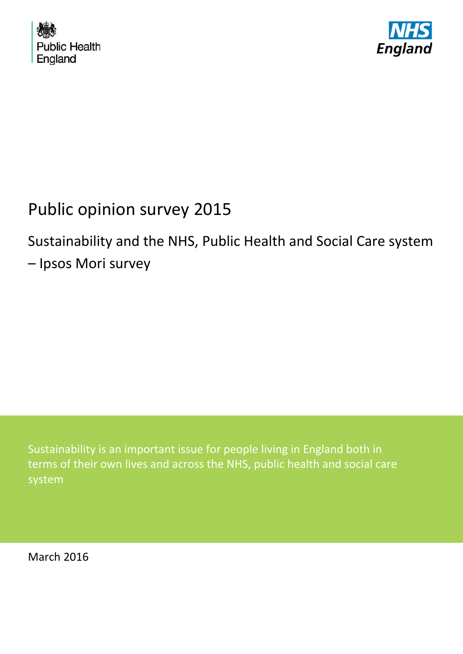



# Public opinion survey 2015

# Sustainability and the NHS, Public Health and Social Care system – Ipsos Mori survey

Sustainability is an important issue for people living in England both in terms of their own lives and across the NHS, public health and social care system

<span id="page-0-0"></span>March 2016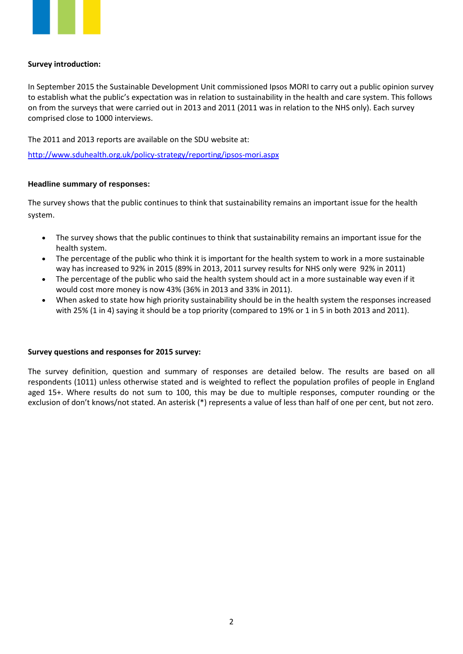

# **Survey introduction:**

In September 2015 the Sustainable Development Unit commissioned Ipsos MORI to carry out a public opinion survey to establish what the public's expectation was in relation to sustainability in the health and care system. This follows on from the surveys that were carried out in 2013 and 2011 (2011 was in relation to the NHS only). Each survey comprised close to 1000 interviews.

The 2011 and 2013 reports are available on the SDU website at:

<http://www.sduhealth.org.uk/policy-strategy/reporting/ipsos-mori.aspx>

# **Headline summary of responses:**

The survey shows that the public continues to think that sustainability remains an important issue for the health system.

- The survey shows that the public continues to think that sustainability remains an important issue for the health system.
- The percentage of the public who think it is important for the health system to work in a more sustainable way has increased to 92% in 2015 (89% in 2013, 2011 survey results for NHS only were 92% in 2011)
- The percentage of the public who said the health system should act in a more sustainable way even if it would cost more money is now 43% (36% in 2013 and 33% in 2011).
- When asked to state how high priority sustainability should be in the health system the responses increased with 25% (1 in 4) saying it should be a top priority (compared to 19% or 1 in 5 in both 2013 and 2011).

#### **Survey questions and responses for 2015 survey:**

The survey definition, question and summary of responses are detailed below. The results are based on all respondents (1011) unless otherwise stated and is weighted to reflect the population profiles of people in England aged 15+. Where results do not sum to 100, this may be due to multiple responses, computer rounding or the exclusion of don't knows/not stated. An asterisk (\*) represents a value of less than half of one per cent, but not zero.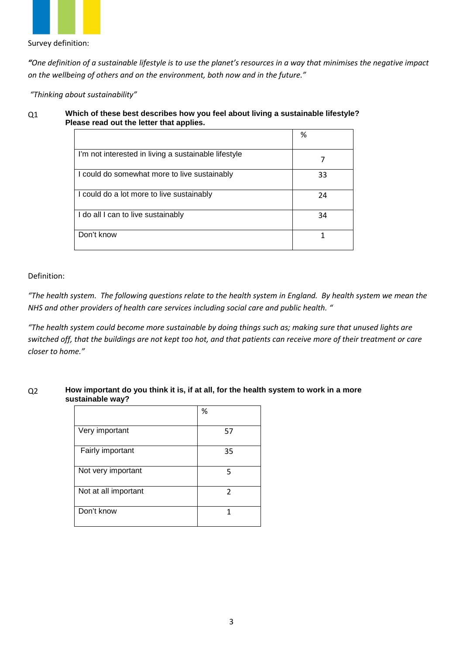

Survey definition:

*"One definition of a sustainable lifestyle is to use the planet's resources in a way that minimises the negative impact on the wellbeing of others and on the environment, both now and in the future."*

*"Thinking about sustainability"*

# Q1 **Which of these best describes how you feel about living a sustainable lifestyle? Please read out the letter that applies.**

|                                                      | %  |
|------------------------------------------------------|----|
| I'm not interested in living a sustainable lifestyle |    |
| I could do somewhat more to live sustainably         | 33 |
| I could do a lot more to live sustainably            | 24 |
| I do all I can to live sustainably                   | 34 |
| Don't know                                           |    |

# Definition:

*"The health system. The following questions relate to the health system in England. By health system we mean the NHS and other providers of health care services including social care and public health. "*

*"The health system could become more sustainable by doing things such as; making sure that unused lights are switched off, that the buildings are not kept too hot, and that patients can receive more of their treatment or care closer to home."*

#### Q2 **How important do you think it is, if at all, for the health system to work in a more sustainable way?**

|                      | %              |
|----------------------|----------------|
| Very important       | 57             |
| Fairly important     | 35             |
| Not very important   | 5              |
| Not at all important | $\overline{2}$ |
| Don't know           | 1              |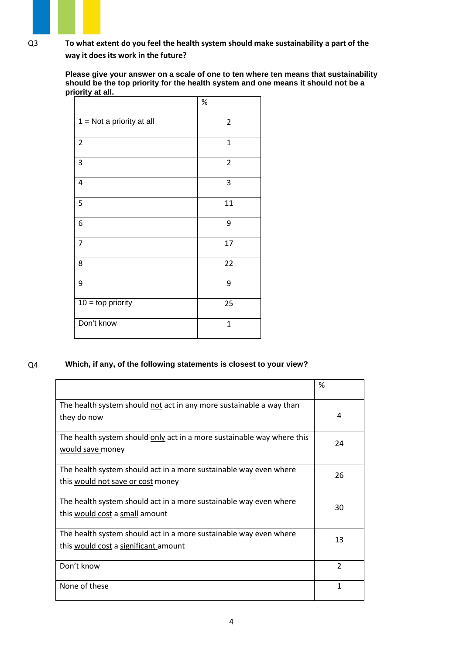Q3 **To what extent do you feel the health system should make sustainability a part of the way it does its work in the future?**

> **Please give your answer on a scale of one to ten where ten means that sustainability should be the top priority for the health system and one means it should not be a priority at all.**

|                             | %              |
|-----------------------------|----------------|
| $1 = Not$ a priority at all | $\overline{2}$ |
| $\overline{2}$              | $\mathbf{1}$   |
| $\mathsf 3$                 | $\mathbf 2$    |
| $\overline{\mathbf{4}}$     | 3              |
| 5                           | 11             |
| 6                           | 9              |
| $\overline{7}$              | 17             |
| 8                           | 22             |
| 9                           | 9              |
| $10 =$ top priority         | 25             |
| Don't know                  | $\mathbf{1}$   |

# Q4 **Which, if any, of the following statements is closest to your view?**

|                                                                                                           | %              |
|-----------------------------------------------------------------------------------------------------------|----------------|
| The health system should not act in any more sustainable a way than<br>they do now                        | 4              |
| The health system should only act in a more sustainable way where this<br>would save money                | 24             |
| The health system should act in a more sustainable way even where<br>this would not save or cost money    | 26             |
| The health system should act in a more sustainable way even where<br>this would cost a small amount       | 30             |
| The health system should act in a more sustainable way even where<br>this would cost a significant amount | 13             |
| Don't know                                                                                                | $\overline{2}$ |
| None of these                                                                                             | 1              |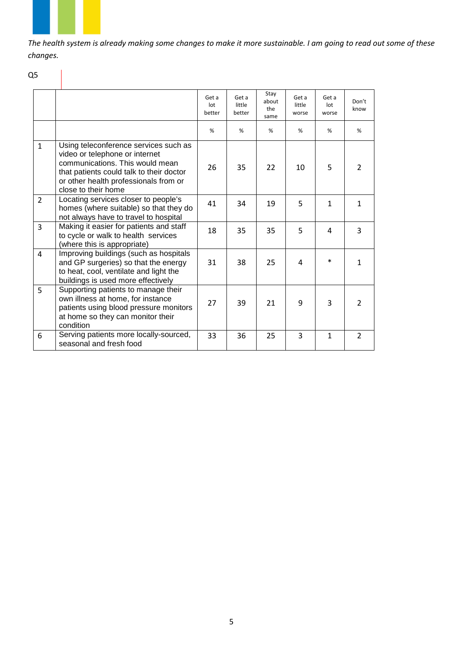*The health system is already making some changes to make it more sustainable. I am going to read out some of these changes.*

# Q5

|                |                                                                                                                                                                                                                        | Get a<br>lot<br>better | Get a<br>little<br>better | Stay<br>about<br>the<br>same | Get a<br>little<br>worse | Get a<br>$_{\text{lot}}$<br>worse | Don't<br>know |
|----------------|------------------------------------------------------------------------------------------------------------------------------------------------------------------------------------------------------------------------|------------------------|---------------------------|------------------------------|--------------------------|-----------------------------------|---------------|
|                |                                                                                                                                                                                                                        | %                      | %                         | %                            | %                        | %                                 | %             |
| $\mathbf{1}$   | Using teleconference services such as<br>video or telephone or internet<br>communications. This would mean<br>that patients could talk to their doctor<br>or other health professionals from or<br>close to their home | 26                     | 35                        | 22                           | 10                       | 5                                 | 2             |
| $\overline{2}$ | Locating services closer to people's<br>homes (where suitable) so that they do<br>not always have to travel to hospital                                                                                                | 41                     | 34                        | 19                           | 5                        | 1                                 | 1             |
| $\overline{3}$ | Making it easier for patients and staff<br>to cycle or walk to health services<br>(where this is appropriate)                                                                                                          | 18                     | 35                        | 35                           | 5                        | 4                                 | 3             |
| 4              | Improving buildings (such as hospitals<br>and GP surgeries) so that the energy<br>to heat, cool, ventilate and light the<br>buildings is used more effectively                                                         | 31                     | 38                        | 25                           | 4                        | $\ast$                            | 1             |
| 5              | Supporting patients to manage their<br>own illness at home, for instance<br>patients using blood pressure monitors<br>at home so they can monitor their<br>condition                                                   | 27                     | 39                        | 21                           | 9                        | 3                                 | $\mathcal{P}$ |
| 6              | Serving patients more locally-sourced,<br>seasonal and fresh food                                                                                                                                                      | 33                     | 36                        | 25                           | 3                        | $\mathbf{1}$                      | $\mathcal{P}$ |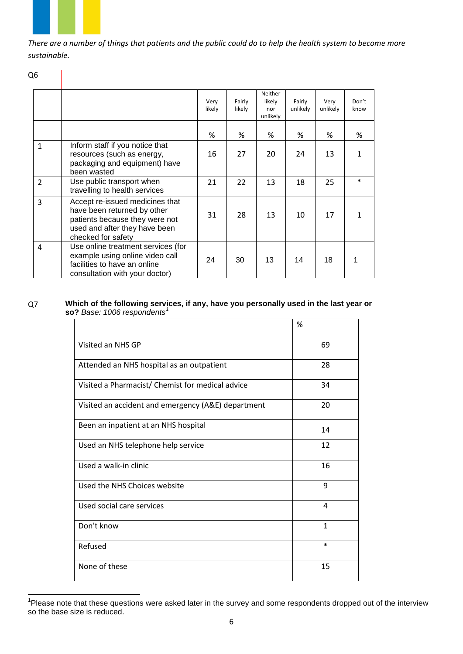*There are a number of things that patients and the public could do to help the health system to become more sustainable.*

|              |                                                                                                                                                         | Very<br>likely | Fairly<br>likely | Neither<br>likely<br>nor<br>unlikely | Fairly<br>unlikely | Very<br>unlikely | Don't<br>know |
|--------------|---------------------------------------------------------------------------------------------------------------------------------------------------------|----------------|------------------|--------------------------------------|--------------------|------------------|---------------|
|              |                                                                                                                                                         | %              | %                | %                                    | %                  | %                | %             |
| $\mathbf{1}$ | Inform staff if you notice that<br>resources (such as energy,<br>packaging and equipment) have<br>been wasted                                           | 16             | 27               | 20                                   | 24                 | 13               | 1             |
| 2            | Use public transport when<br>travelling to health services                                                                                              | 21             | 22               | 13                                   | 18                 | 25               | *             |
| 3            | Accept re-issued medicines that<br>have been returned by other<br>patients because they were not<br>used and after they have been<br>checked for safety | 31             | 28               | 13                                   | 10                 | 17               | 1             |
| 4            | Use online treatment services (for<br>example using online video call<br>facilities to have an online<br>consultation with your doctor)                 | 24             | 30               | 13                                   | 14                 | 18               | 1             |

#### Q7 **Which of the following services, if any, have you personally used in the last year or so?** *Base: 1006 respondents[1](#page-0-0)*

|                                                    | %      |
|----------------------------------------------------|--------|
| Visited an NHS GP                                  | 69     |
| Attended an NHS hospital as an outpatient          | 28     |
| Visited a Pharmacist/ Chemist for medical advice   | 34     |
| Visited an accident and emergency (A&E) department | 20     |
| Been an inpatient at an NHS hospital               | 14     |
| Used an NHS telephone help service                 | 12     |
| Used a walk-in clinic                              | 16     |
| Used the NHS Choices website                       | 9      |
| Used social care services                          | 4      |
| Don't know                                         | 1      |
| Refused                                            | $\ast$ |
| None of these                                      | 15     |

<span id="page-5-0"></span>1 Please note that these questions were asked later in the survey and some respondents dropped out of the interview so the base size is reduced.